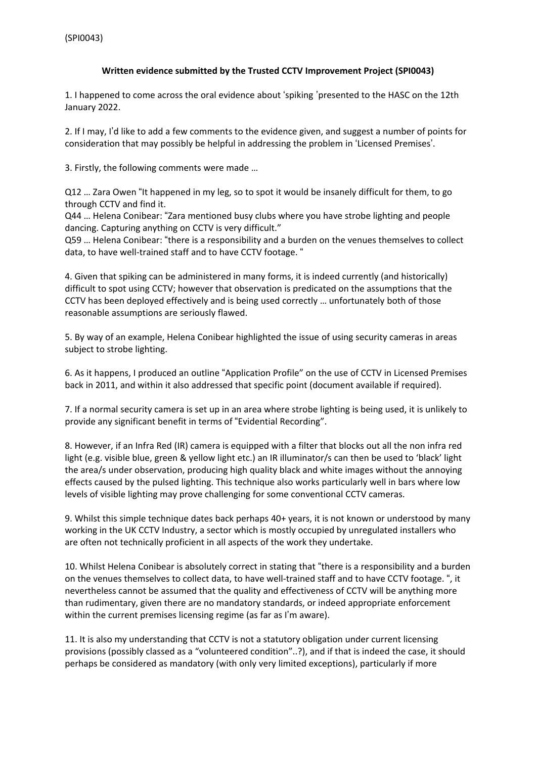## **Written evidence submitted by the Trusted CCTV Improvement Project (SPI0043)**

1. I happened to come across the oral evidence about 'spiking 'presented to the HASC on the 12th January 2022.

2. If I may, I'd like to add a few comments to the evidence given, and suggest a number of points for consideration that may possibly be helpful in addressing the problem in 'Licensed Premises'.

3. Firstly, the following comments were made …

Q12 … Zara Owen "It happened in my leg, so to spot it would be insanely difficult for them, to go through CCTV and find it.

Q44 … Helena Conibear: "Zara mentioned busy clubs where you have strobe lighting and people dancing. Capturing anything on CCTV is very difficult."

Q59 … Helena Conibear: "there is a responsibility and a burden on the venues themselves to collect data, to have well-trained staff and to have CCTV footage. "

4. Given that spiking can be administered in many forms, it is indeed currently (and historically) difficult to spot using CCTV; however that observation is predicated on the assumptions that the CCTV has been deployed effectively and is being used correctly … unfortunately both of those reasonable assumptions are seriously flawed.

5. By way of an example, Helena Conibear highlighted the issue of using security cameras in areas subject to strobe lighting.

6. As it happens, I produced an outline "Application Profile" on the use of CCTV in Licensed Premises back in 2011, and within it also addressed that specific point (document available if required).

7. If a normal security camera is set up in an area where strobe lighting is being used, it is unlikely to provide any significant benefit in terms of "Evidential Recording".

8. However, if an Infra Red (IR) camera is equipped with a filter that blocks out all the non infra red light (e.g. visible blue, green & yellow light etc.) an IR illuminator/s can then be used to 'black' light the area/s under observation, producing high quality black and white images without the annoying effects caused by the pulsed lighting. This technique also works particularly well in bars where low levels of visible lighting may prove challenging for some conventional CCTV cameras.

9. Whilst this simple technique dates back perhaps 40+ years, it is not known or understood by many working in the UK CCTV Industry, a sector which is mostly occupied by unregulated installers who are often not technically proficient in all aspects of the work they undertake.

10. Whilst Helena Conibear is absolutely correct in stating that "there is a responsibility and a burden on the venues themselves to collect data, to have well-trained staff and to have CCTV footage. ", it nevertheless cannot be assumed that the quality and effectiveness of CCTV will be anything more than rudimentary, given there are no mandatory standards, or indeed appropriate enforcement within the current premises licensing regime (as far as I'm aware).

11. It is also my understanding that CCTV is not a statutory obligation under current licensing provisions (possibly classed as a "volunteered condition"..?), and if that is indeed the case, it should perhaps be considered as mandatory (with only very limited exceptions), particularly if more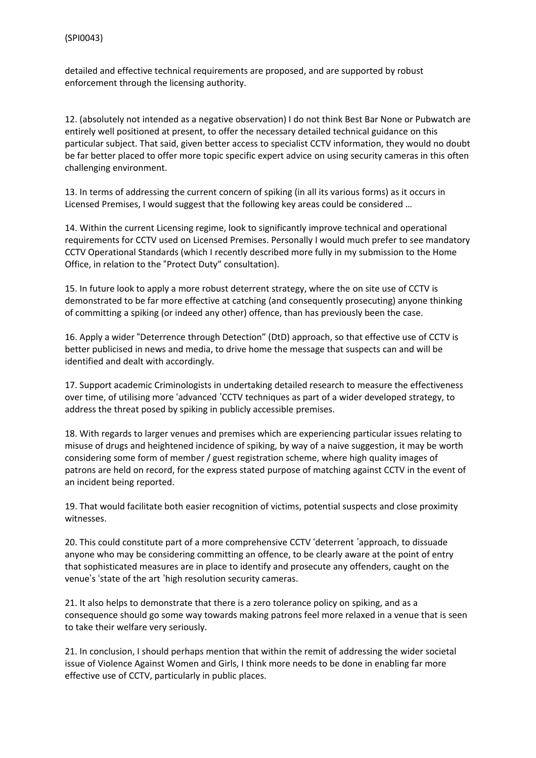detailed and effective technical requirements are proposed, and are supported by robust enforcement through the licensing authority.

12. (absolutely not intended as a negative observation) I do not think Best Bar None or Pubwatch are entirely well positioned at present, to offer the necessary detailed technical guidance on this particular subject. That said, given better access to specialist CCTV information, they would no doubt be far better placed to offer more topic specific expert advice on using security cameras in this often challenging environment.

13. In terms of addressing the current concern of spiking (in all its various forms) as it occurs in Licensed Premises, I would suggest that the following key areas could be considered …

14. Within the current Licensing regime, look to significantly improve technical and operational requirements for CCTV used on Licensed Premises. Personally I would much prefer to see mandatory CCTV Operational Standards (which I recently described more fully in my submission to the Home Office, in relation to the "Protect Duty" consultation).

15. In future look to apply a more robust deterrent strategy, where the on site use of CCTV is demonstrated to be far more effective at catching (and consequently prosecuting) anyone thinking of committing a spiking (or indeed any other) offence, than has previously been the case.

16. Apply a wider "Deterrence through Detection" (DtD) approach, so that effective use of CCTV is better publicised in news and media, to drive home the message that suspects can and will be identified and dealt with accordingly.

17. Support academic Criminologists in undertaking detailed research to measure the effectiveness over time, of utilising more 'advanced 'CCTV techniques as part of a wider developed strategy, to address the threat posed by spiking in publicly accessible premises.

18. With regards to larger venues and premises which are experiencing particular issues relating to misuse of drugs and heightened incidence of spiking, by way of a naive suggestion, it may be worth considering some form of member / guest registration scheme, where high quality images of patrons are held on record, for the express stated purpose of matching against CCTV in the event of an incident being reported.

19. That would facilitate both easier recognition of victims, potential suspects and close proximity witnesses.

20. This could constitute part of a more comprehensive CCTV 'deterrent 'approach, to dissuade anyone who may be considering committing an offence, to be clearly aware at the point of entry that sophisticated measures are in place to identify and prosecute any offenders, caught on the venue's 'state of the art 'high resolution security cameras.

21. It also helps to demonstrate that there is a zero tolerance policy on spiking, and as a consequence should go some way towards making patrons feel more relaxed in a venue that is seen to take their welfare very seriously.

21. In conclusion, I should perhaps mention that within the remit of addressing the wider societal issue of Violence Against Women and Girls, I think more needs to be done in enabling far more effective use of CCTV, particularly in public places.